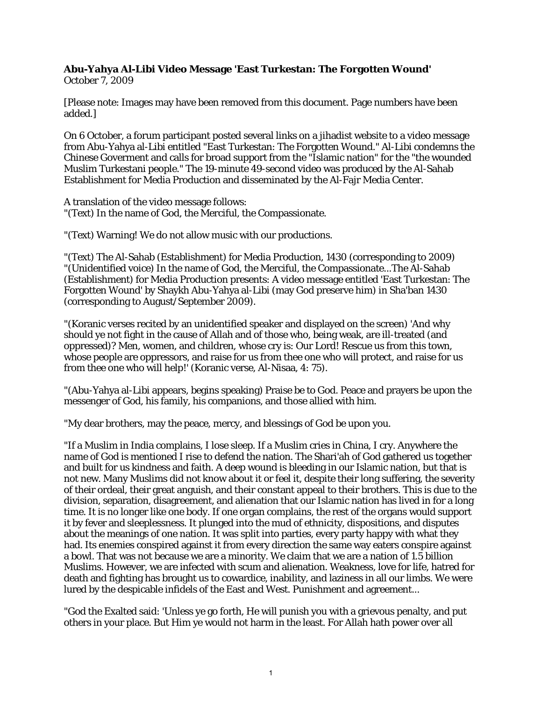## **Abu-Yahya Al-Libi Video Message 'East Turkestan: The Forgotten Wound'**

October 7, 2009

[Please note: Images may have been removed from this document. Page numbers have been added.]

On 6 October, a forum participant posted several links on a jihadist website to a video message from Abu-Yahya al-Libi entitled "East Turkestan: The Forgotten Wound." Al-Libi condemns the Chinese Goverment and calls for broad support from the "Islamic nation" for the "the wounded Muslim Turkestani people." The 19-minute 49-second video was produced by the Al-Sahab Establishment for Media Production and disseminated by the Al-Fajr Media Center.

A translation of the video message follows: "(Text) In the name of God, the Merciful, the Compassionate.

"(Text) Warning! We do not allow music with our productions.

"(Text) The Al-Sahab (Establishment) for Media Production, 1430 (corresponding to 2009) "(Unidentified voice) In the name of God, the Merciful, the Compassionate...The Al-Sahab (Establishment) for Media Production presents: A video message entitled 'East Turkestan: The Forgotten Wound' by Shaykh Abu-Yahya al-Libi (may God preserve him) in Sha'ban 1430 (corresponding to August/September 2009).

"(Koranic verses recited by an unidentified speaker and displayed on the screen) 'And why should ye not fight in the cause of Allah and of those who, being weak, are ill-treated (and oppressed)? Men, women, and children, whose cry is: Our Lord! Rescue us from this town, whose people are oppressors, and raise for us from thee one who will protect, and raise for us from thee one who will help!' (Koranic verse, Al-Nisaa, 4: 75).

"(Abu-Yahya al-Libi appears, begins speaking) Praise be to God. Peace and prayers be upon the messenger of God, his family, his companions, and those allied with him.

"My dear brothers, may the peace, mercy, and blessings of God be upon you.

"If a Muslim in India complains, I lose sleep. If a Muslim cries in China, I cry. Anywhere the name of God is mentioned I rise to defend the nation. The Shari'ah of God gathered us together and built for us kindness and faith. A deep wound is bleeding in our Islamic nation, but that is not new. Many Muslims did not know about it or feel it, despite their long suffering, the severity of their ordeal, their great anguish, and their constant appeal to their brothers. This is due to the division, separation, disagreement, and alienation that our Islamic nation has lived in for a long time. It is no longer like one body. If one organ complains, the rest of the organs would support it by fever and sleeplessness. It plunged into the mud of ethnicity, dispositions, and disputes about the meanings of one nation. It was split into parties, every party happy with what they had. Its enemies conspired against it from every direction the same way eaters conspire against a bowl. That was not because we are a minority. We claim that we are a nation of 1.5 billion Muslims. However, we are infected with scum and alienation. Weakness, love for life, hatred for death and fighting has brought us to cowardice, inability, and laziness in all our limbs. We were lured by the despicable infidels of the East and West. Punishment and agreement...

"God the Exalted said: 'Unless ye go forth, He will punish you with a grievous penalty, and put others in your place. But Him ye would not harm in the least. For Allah hath power over all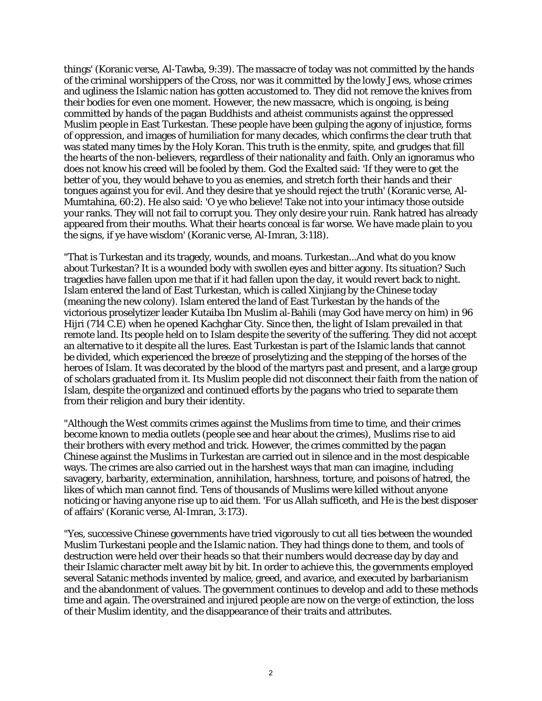things' (Koranic verse, Al-Tawba, 9:39). The massacre of today was not committed by the hands of the criminal worshippers of the Cross, nor was it committed by the lowly Jews, whose crimes and ugliness the Islamic nation has gotten accustomed to. They did not remove the knives from their bodies for even one moment. However, the new massacre, which is ongoing, is being committed by hands of the pagan Buddhists and atheist communists against the oppressed Muslim people in East Turkestan. These people have been gulping the agony of injustice, forms of oppression, and images of humiliation for many decades, which confirms the clear truth that was stated many times by the Holy Koran. This truth is the enmity, spite, and grudges that fill the hearts of the non-believers, regardless of their nationality and faith. Only an ignoramus who does not know his creed will be fooled by them. God the Exalted said: 'If they were to get the better of you, they would behave to you as enemies, and stretch forth their hands and their tongues against you for evil. And they desire that ye should reject the truth' (Koranic verse, Al-Mumtahina, 60:2). He also said: 'O ye who believe! Take not into your intimacy those outside your ranks. They will not fail to corrupt you. They only desire your ruin. Rank hatred has already appeared from their mouths. What their hearts conceal is far worse. We have made plain to you the signs, if ye have wisdom' (Koranic verse, Al-Imran, 3:118).

"That is Turkestan and its tragedy, wounds, and moans. Turkestan...And what do you know about Turkestan? It is a wounded body with swollen eyes and bitter agony. Its situation? Such tragedies have fallen upon me that if it had fallen upon the day, it would revert back to night. Islam entered the land of East Turkestan, which is called Xinjiang by the Chinese today (meaning the new colony). Islam entered the land of East Turkestan by the hands of the victorious proselytizer leader Kutaiba Ibn Muslim al-Bahili (may God have mercy on him) in 96 Hijri (714 C.E) when he opened Kachghar City. Since then, the light of Islam prevailed in that remote land. Its people held on to Islam despite the severity of the suffering. They did not accept an alternative to it despite all the lures. East Turkestan is part of the Islamic lands that cannot be divided, which experienced the breeze of proselytizing and the stepping of the horses of the heroes of Islam. It was decorated by the blood of the martyrs past and present, and a large group of scholars graduated from it. Its Muslim people did not disconnect their faith from the nation of Islam, despite the organized and continued efforts by the pagans who tried to separate them from their religion and bury their identity.

"Although the West commits crimes against the Muslims from time to time, and their crimes become known to media outlets (people see and hear about the crimes), Muslims rise to aid their brothers with every method and trick. However, the crimes committed by the pagan Chinese against the Muslims in Turkestan are carried out in silence and in the most despicable ways. The crimes are also carried out in the harshest ways that man can imagine, including savagery, barbarity, extermination, annihilation, harshness, torture, and poisons of hatred, the likes of which man cannot find. Tens of thousands of Muslims were killed without anyone noticing or having anyone rise up to aid them. 'For us Allah sufficeth, and He is the best disposer of affairs' (Koranic verse, Al-Imran, 3:173).

"Yes, successive Chinese governments have tried vigorously to cut all ties between the wounded Muslim Turkestani people and the Islamic nation. They had things done to them, and tools of destruction were held over their heads so that their numbers would decrease day by day and their Islamic character melt away bit by bit. In order to achieve this, the governments employed several Satanic methods invented by malice, greed, and avarice, and executed by barbarianism and the abandonment of values. The government continues to develop and add to these methods time and again. The overstrained and injured people are now on the verge of extinction, the loss of their Muslim identity, and the disappearance of their traits and attributes.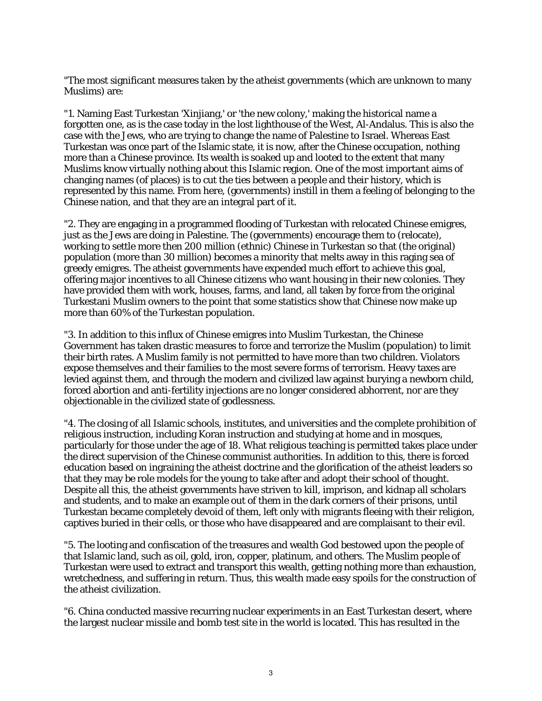"The most significant measures taken by the atheist governments (which are unknown to many Muslims) are:

"1. Naming East Turkestan 'Xinjiang,' or 'the new colony,' making the historical name a forgotten one, as is the case today in the lost lighthouse of the West, Al-Andalus. This is also the case with the Jews, who are trying to change the name of Palestine to Israel. Whereas East Turkestan was once part of the Islamic state, it is now, after the Chinese occupation, nothing more than a Chinese province. Its wealth is soaked up and looted to the extent that many Muslims know virtually nothing about this Islamic region. One of the most important aims of changing names (of places) is to cut the ties between a people and their history, which is represented by this name. From here, (governments) instill in them a feeling of belonging to the Chinese nation, and that they are an integral part of it.

"2. They are engaging in a programmed flooding of Turkestan with relocated Chinese emigres, just as the Jews are doing in Palestine. The (governments) encourage them to (relocate), working to settle more then 200 million (ethnic) Chinese in Turkestan so that (the original) population (more than 30 million) becomes a minority that melts away in this raging sea of greedy emigres. The atheist governments have expended much effort to achieve this goal, offering major incentives to all Chinese citizens who want housing in their new colonies. They have provided them with work, houses, farms, and land, all taken by force from the original Turkestani Muslim owners to the point that some statistics show that Chinese now make up more than 60% of the Turkestan population.

"3. In addition to this influx of Chinese emigres into Muslim Turkestan, the Chinese Government has taken drastic measures to force and terrorize the Muslim (population) to limit their birth rates. A Muslim family is not permitted to have more than two children. Violators expose themselves and their families to the most severe forms of terrorism. Heavy taxes are levied against them, and through the modern and civilized law against burying a newborn child, forced abortion and anti-fertility injections are no longer considered abhorrent, nor are they objectionable in the civilized state of godlessness.

"4. The closing of all Islamic schools, institutes, and universities and the complete prohibition of religious instruction, including Koran instruction and studying at home and in mosques, particularly for those under the age of 18. What religious teaching is permitted takes place under the direct supervision of the Chinese communist authorities. In addition to this, there is forced education based on ingraining the atheist doctrine and the glorification of the atheist leaders so that they may be role models for the young to take after and adopt their school of thought. Despite all this, the atheist governments have striven to kill, imprison, and kidnap all scholars and students, and to make an example out of them in the dark corners of their prisons, until Turkestan became completely devoid of them, left only with migrants fleeing with their religion, captives buried in their cells, or those who have disappeared and are complaisant to their evil.

"5. The looting and confiscation of the treasures and wealth God bestowed upon the people of that Islamic land, such as oil, gold, iron, copper, platinum, and others. The Muslim people of Turkestan were used to extract and transport this wealth, getting nothing more than exhaustion, wretchedness, and suffering in return. Thus, this wealth made easy spoils for the construction of the atheist civilization.

"6. China conducted massive recurring nuclear experiments in an East Turkestan desert, where the largest nuclear missile and bomb test site in the world is located. This has resulted in the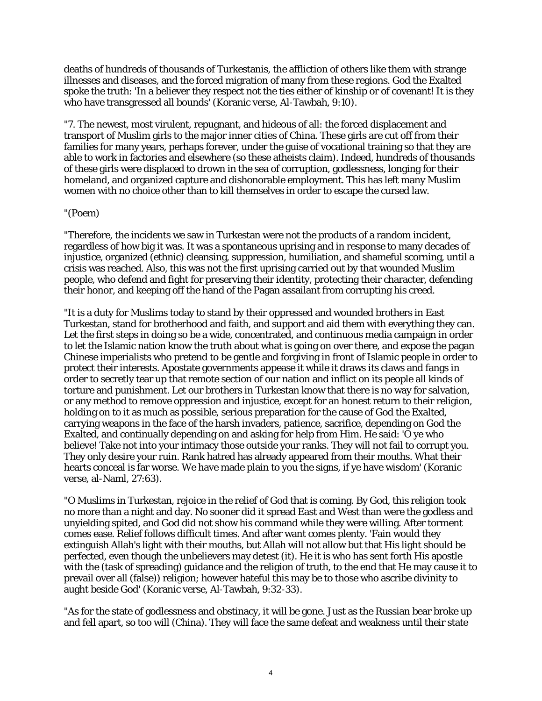deaths of hundreds of thousands of Turkestanis, the affliction of others like them with strange illnesses and diseases, and the forced migration of many from these regions. God the Exalted spoke the truth: 'In a believer they respect not the ties either of kinship or of covenant! It is they who have transgressed all bounds' (Koranic verse, Al-Tawbah, 9:10).

"7. The newest, most virulent, repugnant, and hideous of all: the forced displacement and transport of Muslim girls to the major inner cities of China. These girls are cut off from their families for many years, perhaps forever, under the guise of vocational training so that they are able to work in factories and elsewhere (so these atheists claim). Indeed, hundreds of thousands of these girls were displaced to drown in the sea of corruption, godlessness, longing for their homeland, and organized capture and dishonorable employment. This has left many Muslim women with no choice other than to kill themselves in order to escape the cursed law.

## "(Poem)

"Therefore, the incidents we saw in Turkestan were not the products of a random incident, regardless of how big it was. It was a spontaneous uprising and in response to many decades of injustice, organized (ethnic) cleansing, suppression, humiliation, and shameful scorning, until a crisis was reached. Also, this was not the first uprising carried out by that wounded Muslim people, who defend and fight for preserving their identity, protecting their character, defending their honor, and keeping off the hand of the Pagan assailant from corrupting his creed.

"It is a duty for Muslims today to stand by their oppressed and wounded brothers in East Turkestan, stand for brotherhood and faith, and support and aid them with everything they can. Let the first steps in doing so be a wide, concentrated, and continuous media campaign in order to let the Islamic nation know the truth about what is going on over there, and expose the pagan Chinese imperialists who pretend to be gentle and forgiving in front of Islamic people in order to protect their interests. Apostate governments appease it while it draws its claws and fangs in order to secretly tear up that remote section of our nation and inflict on its people all kinds of torture and punishment. Let our brothers in Turkestan know that there is no way for salvation, or any method to remove oppression and injustice, except for an honest return to their religion, holding on to it as much as possible, serious preparation for the cause of God the Exalted, carrying weapons in the face of the harsh invaders, patience, sacrifice, depending on God the Exalted, and continually depending on and asking for help from Him. He said: 'O ye who believe! Take not into your intimacy those outside your ranks. They will not fail to corrupt you. They only desire your ruin. Rank hatred has already appeared from their mouths. What their hearts conceal is far worse. We have made plain to you the signs, if ye have wisdom' (Koranic verse, al-Naml, 27:63).

"O Muslims in Turkestan, rejoice in the relief of God that is coming. By God, this religion took no more than a night and day. No sooner did it spread East and West than were the godless and unyielding spited, and God did not show his command while they were willing. After torment comes ease. Relief follows difficult times. And after want comes plenty. 'Fain would they extinguish Allah's light with their mouths, but Allah will not allow but that His light should be perfected, even though the unbelievers may detest (it). He it is who has sent forth His apostle with the (task of spreading) guidance and the religion of truth, to the end that He may cause it to prevail over all (false)) religion; however hateful this may be to those who ascribe divinity to aught beside God' (Koranic verse, Al-Tawbah, 9:32-33).

"As for the state of godlessness and obstinacy, it will be gone. Just as the Russian bear broke up and fell apart, so too will (China). They will face the same defeat and weakness until their state